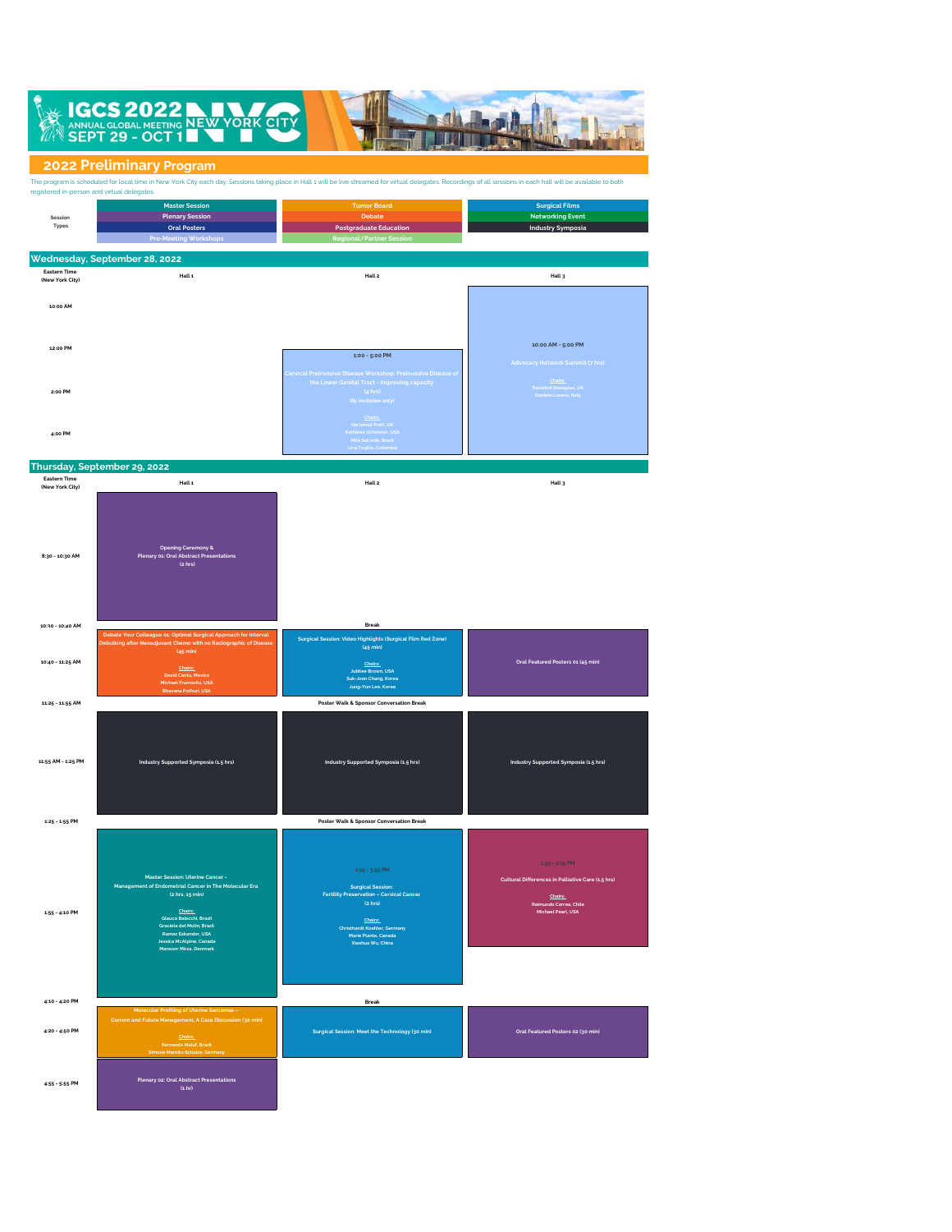

## **2022 Preliminary Program**

**4:55 - 5:55 PM Plenary 02: Oral Abstract Presentations (1 hr)**

| registered in-person and virtual delegates.               | The program is scheduled for local time in New York City each day. Sessions taking place in Hall 1 will be live streamed for virtual delegates. Recordings of all sessions in each hall will be available to both                                             |                                                                                                                                                                                                         |                                                                                                                                  |
|-----------------------------------------------------------|---------------------------------------------------------------------------------------------------------------------------------------------------------------------------------------------------------------------------------------------------------------|---------------------------------------------------------------------------------------------------------------------------------------------------------------------------------------------------------|----------------------------------------------------------------------------------------------------------------------------------|
| Session<br>Types                                          | <b>Master Session</b><br><b>Plenary Session</b><br><b>Oral Posters</b><br><b>Pre-Meeting Workshop</b>                                                                                                                                                         | <b>Tumor Board</b><br>Debate<br><b>Postgraduate Education</b><br>Regional/Partner Sessio                                                                                                                | <b>Surgical Films</b><br><b>Networking Event</b><br><b>Industry Symposia</b>                                                     |
| <b>Eastern Time</b><br>(New York City)                    | Wednesday, September 28, 2022<br>Hall 1                                                                                                                                                                                                                       | Hall 2                                                                                                                                                                                                  | Hall 3                                                                                                                           |
| 10:00 AM                                                  |                                                                                                                                                                                                                                                               |                                                                                                                                                                                                         |                                                                                                                                  |
| 12:00 PM                                                  |                                                                                                                                                                                                                                                               | 1:00 - 5:00 PM                                                                                                                                                                                          | 10:00 AM - 5:00 PM<br><b>Advocacy Network Summit (7 hrs)</b>                                                                     |
| 2:00 PM                                                   |                                                                                                                                                                                                                                                               | Cervical Preinvasive Disease Workshop: Preinvasive Disease of<br>the Lower Genital Tract - Improving capacity<br>(4 hrs)<br>(By invitation only)                                                        | Chairs:<br>Rosalind Glasspool, UK<br>Daniela Luvero, Italy                                                                       |
| 4:00 PM                                                   |                                                                                                                                                                                                                                                               | <u>Chairs:</u><br>Ida Ismail Pratt, UK<br>Kathleen Schmeler, USA<br>Mila Salcedo, Brazil<br>Lina Trujillo, Colombia                                                                                     |                                                                                                                                  |
|                                                           | Thursday, September 29, 2022                                                                                                                                                                                                                                  |                                                                                                                                                                                                         |                                                                                                                                  |
| <b>Eastern Time</b><br>(New York City)<br>8:30 - 10:30 AM | Hall 1<br><b>Opening Ceremony &amp;</b><br>Plenary 01: Oral Abstract Presentations<br>$(z$ hrs $)$                                                                                                                                                            | Hall 2                                                                                                                                                                                                  | Hall 3                                                                                                                           |
| 10:30 - 10:40 AM                                          |                                                                                                                                                                                                                                                               | <b>Break</b>                                                                                                                                                                                            |                                                                                                                                  |
|                                                           | Debate Your Colleague 01: Optimal Surgical Approach for Interval<br>Debulking after Neoadjuvant Chemo with no Radiographic of Diseas<br>$(45 \text{ min})$                                                                                                    | Surgical Session: Video Highlights (Surgical Film Red Zone)<br>$(45 \text{ min})$                                                                                                                       |                                                                                                                                  |
| 10:40 - 11:25 AM                                          | Chairs:<br>David Cantu, Mexico<br>Michael Frumovitz, USA                                                                                                                                                                                                      | Chairs:<br><b>Jubilee Brown, USA</b><br>Suk-Joon Chang, Korea<br>Jung-Yun Lee, Korea                                                                                                                    | Oral Featured Posters 01 (45 min)                                                                                                |
| 11:25 - 11:55 AM                                          | Bhavana Pothuri, USA                                                                                                                                                                                                                                          | Poster Walk & Sponsor Conversation Break                                                                                                                                                                |                                                                                                                                  |
|                                                           |                                                                                                                                                                                                                                                               |                                                                                                                                                                                                         |                                                                                                                                  |
| 11:55 AM - 1:25 PM                                        | Industry Supported Symposia (1.5 hrs)                                                                                                                                                                                                                         | Industry Supported Symposia (1.5 hrs)                                                                                                                                                                   | Industry Supported Symposia (1.5 hrs)                                                                                            |
| 1:25 - 1:55 PM                                            |                                                                                                                                                                                                                                                               | Poster Walk & Sponsor Conversation Break                                                                                                                                                                |                                                                                                                                  |
| 1:55 - 4:10 PM                                            | Master Session: Uterine Cancer -<br>Management of Endometrial Cancer in The Molecular Era<br>(2 hrs, 15 min)<br>Chairs:<br>Glauco Baiocchi, Brazil<br>Graciela del Molin, Brazil<br>Ramez Eskander, USA<br>Jessica McAlpine, Canada<br>Mansoor Mirza, Denmark | $4:55 - 3:55$ PM<br><b>Surgical Session:</b><br><b>Fertility Preservation - Cervical Cancer</b><br>$(z$ hrs $)$<br>Chairs:<br>Christhardt Koehler, Germany<br>Marie Plante, Canada<br>Xiaohua Wu, China | $1.66 - 2.26$ PM<br>Cultural Differences in Palliative Care (1.5 hrs)<br>Chairs:<br>Raimundo Correa, Chile<br>Michael Pearl, USA |
|                                                           |                                                                                                                                                                                                                                                               |                                                                                                                                                                                                         |                                                                                                                                  |
|                                                           |                                                                                                                                                                                                                                                               |                                                                                                                                                                                                         |                                                                                                                                  |
| 4:10 - 4:20 PM<br>4:20 - 4:50 PM                          | <b>Molecular Profiling of Uterine Sarcomas</b><br>Current and Future Management, A Case Discussion (30 min)<br>Chairs:<br>Fernando Maluf, Brazil<br>Simone Marnitz-Schulze, Germany                                                                           | Break<br>Surgical Session: Meet the Technology (30 min)                                                                                                                                                 | Oral Featured Posters 02 (30 min)                                                                                                |
|                                                           | <u> 1989 - Johann Barnett, mars eta idazlea (h. 1989).</u>                                                                                                                                                                                                    |                                                                                                                                                                                                         |                                                                                                                                  |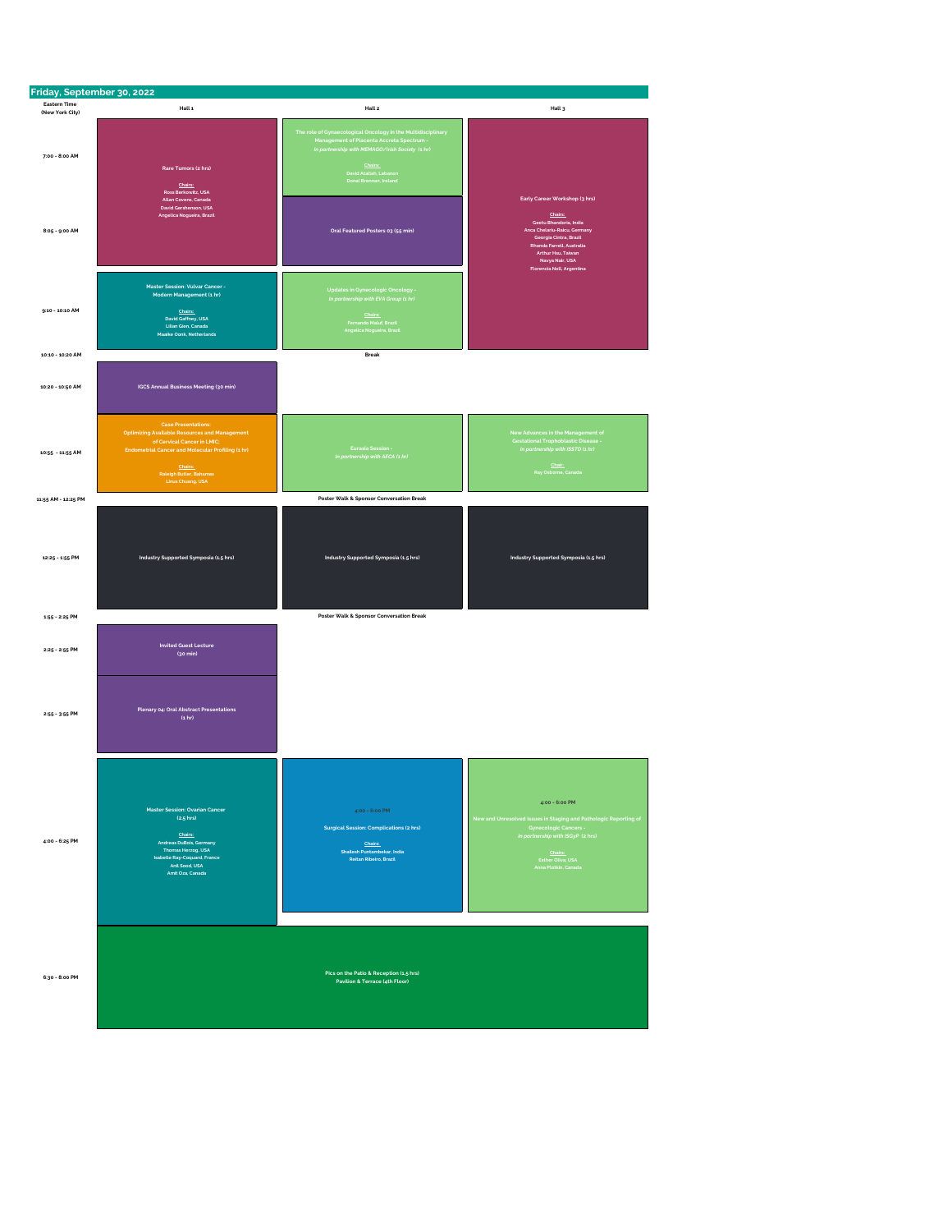| Friday, September 30, 2022             |                                                                                                                                                                                                                                   |                                                                                                                                                                                                                             |                                                                                                                                                                                                          |
|----------------------------------------|-----------------------------------------------------------------------------------------------------------------------------------------------------------------------------------------------------------------------------------|-----------------------------------------------------------------------------------------------------------------------------------------------------------------------------------------------------------------------------|----------------------------------------------------------------------------------------------------------------------------------------------------------------------------------------------------------|
| <b>Eastern Time</b><br>(New York City) | Hall 1                                                                                                                                                                                                                            | Hall 2                                                                                                                                                                                                                      | Hall 3                                                                                                                                                                                                   |
| 7:00 - 8:00 AM                         | Rare Tumors (2 hrs)<br>Chairs:<br>Ross Berkowitz, USA<br>Allan Covens, Canada<br>David Gershenson, USA<br>Angelica Nogueira, Brazil                                                                                               | The role of Gynaecological Oncology in the Multidisciplinary<br>Management of Placenta Accreta Spectrum -<br>In partnership with MEMAGO/Irish Society (1 hr)<br>Chairs:<br>David Atallah, Lebanon<br>Donal Brennan, Ireland | Early Career Workshop (3 hrs)<br>Chairs:<br>Geetu Bhandoria, India                                                                                                                                       |
| 8:05 - 9:00 AM<br>9:10 - 10:10 AM      | Master Session: Vulvar Cancer -<br>Modern Management (1 hr)<br>Chairs:                                                                                                                                                            | Oral Featured Posters 03 (55 min)<br>Updates in Gynecologic Oncology -<br>In partnership with EVA Group (1 hr)                                                                                                              | Anca Chelariu-Raicu, Germany<br>Georgia Cintra, Brazil<br>Rhonda Farrell, Australia<br>Arthur Hsu, Taiwan<br>Navya Nair, USA<br>Florencia Noll, Argentina                                                |
| 10:10 - 10:20 AM                       | David Gaffney, USA<br>Lilian Gien, Canada<br>Maaike Oonk, Netherlands                                                                                                                                                             | <u>Chairs:</u><br>Fernando Maluf, Brazil<br>Angelica Nogueira, Brazil<br>Break                                                                                                                                              |                                                                                                                                                                                                          |
| 10:20 - 10:50 AM                       | IGCS Annual Business Meeting (30 min)                                                                                                                                                                                             |                                                                                                                                                                                                                             |                                                                                                                                                                                                          |
| 10:55 - 11:55 AM                       | <b>Case Presentations:</b><br>Optimizing Available Resources and Management<br>of Cervical Cancer in LMIC;<br><b>Endometrial Cancer and Molecular Profiling (1 hr)</b><br>Chairs:<br>Raleigh Butler, Bahamas<br>Linus Chuang, USA | <b>Eurasia Session -</b><br>In partnership with AECA (1 hr)                                                                                                                                                                 | New Advances in the Management of<br>Gestational Trophoblastic Disease -<br>In partnership with ISSTD (1 hr)<br>Chair:<br>Ray Osborne, Canada                                                            |
| 11:55 AM - 12:25 PM                    |                                                                                                                                                                                                                                   | Poster Walk & Sponsor Conversation Break                                                                                                                                                                                    |                                                                                                                                                                                                          |
| 12:25 - 1:55 PM                        | Industry Supported Symposia (1.5 hrs)                                                                                                                                                                                             | Industry Supported Symposia (1.5 hrs)                                                                                                                                                                                       | Industry Supported Symposia (1.5 hrs)                                                                                                                                                                    |
| 1:55 - 2:25 PM                         |                                                                                                                                                                                                                                   | Poster Walk & Sponsor Conversation Break                                                                                                                                                                                    |                                                                                                                                                                                                          |
| 2:25 - 2:55 PM                         | <b>Invited Guest Lecture</b><br>$(30 \text{ min})$                                                                                                                                                                                |                                                                                                                                                                                                                             |                                                                                                                                                                                                          |
| $2:55 - 3:55$ PM                       | Plenary 04: Oral Abstract Presentations<br>(1 <sub>hr</sub> )                                                                                                                                                                     |                                                                                                                                                                                                                             |                                                                                                                                                                                                          |
| 4:00 - 6:25 PM                         | Master Session: Ovarian Cancer<br>$(2.5)$ hrs)<br>Chairs:<br>Andreas DuBois, Germany<br>Thomas Herzog, USA<br>Isabelle Ray-Coquard, France<br>Anil Sood, USA<br>Amit Oza, Canada                                                  | 4:00 - 6:00 PM<br><b>Surgical Session: Complications (2 hrs)</b><br>Chairs:<br>Shailesh Puntambekar, India<br>Reitan Ribeiro, Brazil                                                                                        | 4:00 - 6:00 PM<br>New and Unresolved Issues in Staging and Pathologic Reporting of<br>Gynecologic Cancers -<br>In partnership with ISGyP (2 hrs)<br>Chairs:<br>Esther Oliva, USA<br>Anna Plotkin, Canada |
| 6:30 - 8:00 PM                         |                                                                                                                                                                                                                                   | Pics on the Patio & Reception (1,5 hrs)<br>Pavilion & Terrace (4th Floor)                                                                                                                                                   |                                                                                                                                                                                                          |